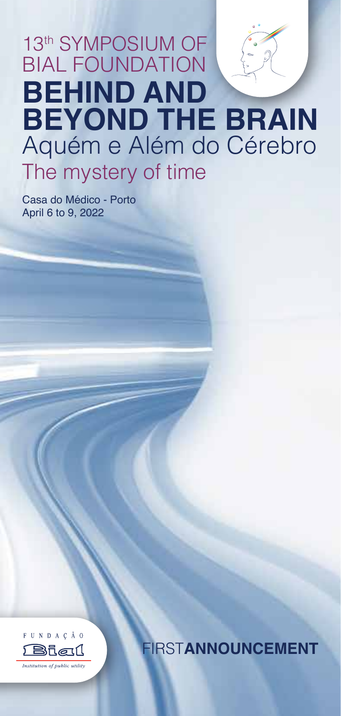# 13th SYMPOSIUM OF BIAL FOUNDATION **BEHIND AND BEYOND THE BRAIN** Aquém e Além do Cérebro The mystery of time

Casa do Médico - Porto April 6 to 9, 2022



FIRST**ANNOUNCEMENT**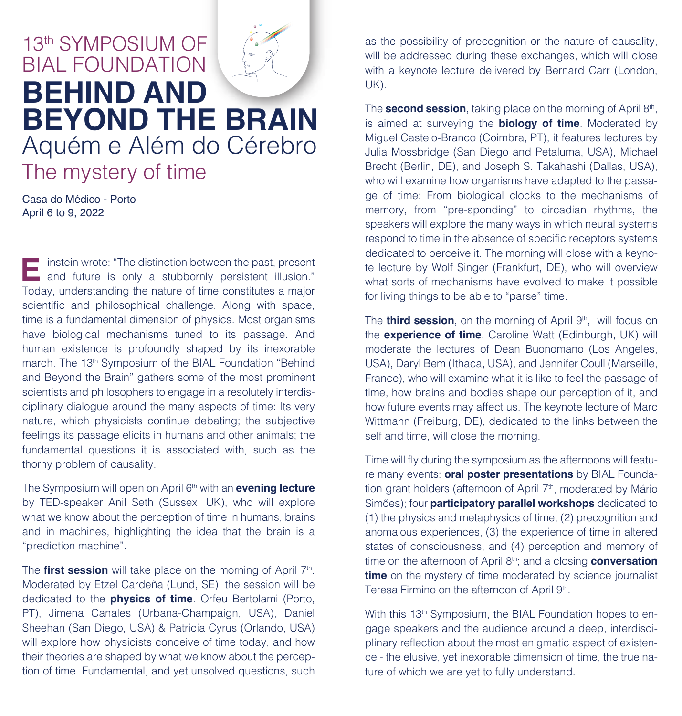# 13th SYMPOSIUM OF BIAL FOUNDATION **BEHIND AND BEYOND THE BRAIN** Aquém e Além do Cérebro The mystery of time

Casa do Médico - Porto April 6 to 9, 2022

instein wrote: "The distinction between the past, present **and future is only a stubbornly persistent illusion."**<br> **E** and future is only a stubbornly persistent illusion." Today, understanding the nature of time constitutes a major scientific and philosophical challenge. Along with space, time is a fundamental dimension of physics. Most organisms have biological mechanisms tuned to its passage. And human existence is profoundly shaped by its inexorable march. The 13<sup>th</sup> Symposium of the BIAL Foundation "Behind and Beyond the Brain" gathers some of the most prominent scientists and philosophers to engage in a resolutely interdisciplinary dialogue around the many aspects of time: Its very nature, which physicists continue debating; the subjective feelings its passage elicits in humans and other animals; the fundamental questions it is associated with, such as the thorny problem of causality.

The Symposium will open on April 6th with an **evening lecture** by TED-speaker Anil Seth (Sussex, UK), who will explore what we know about the perception of time in humans, brains and in machines, highlighting the idea that the brain is a "prediction machine".

The **first session** will take place on the morning of April 7<sup>th</sup>. Moderated by Etzel Cardeña (Lund, SE), the session will be dedicated to the **physics of time**. Orfeu Bertolami (Porto, PT), Jimena Canales (Urbana-Champaign, USA), Daniel Sheehan (San Diego, USA) & Patricia Cyrus (Orlando, USA) will explore how physicists conceive of time today, and how their theories are shaped by what we know about the perception of time. Fundamental, and yet unsolved questions, such

as the possibility of precognition or the nature of causality, will be addressed during these exchanges, which will close with a keynote lecture delivered by Bernard Carr (London, UK).

The **second session**, taking place on the morning of April 8th, is aimed at surveying the **biology of time**. Moderated by Miguel Castelo-Branco (Coimbra, PT), it features lectures by Julia Mossbridge (San Diego and Petaluma, USA), Michael Brecht (Berlin, DE), and Joseph S. Takahashi (Dallas, USA), who will examine how organisms have adapted to the passage of time: From biological clocks to the mechanisms of memory, from "pre-sponding" to circadian rhythms, the speakers will explore the many ways in which neural systems respond to time in the absence of specific receptors systems dedicated to perceive it. The morning will close with a keynote lecture by Wolf Singer (Frankfurt, DE), who will overview what sorts of mechanisms have evolved to make it possible for living things to be able to "parse" time.

The **third session**, on the morning of April 9<sup>th</sup>, will focus on the **experience of time**. Caroline Watt (Edinburgh, UK) will moderate the lectures of Dean Buonomano (Los Angeles, USA), Daryl Bem (Ithaca, USA), and Jennifer Coull (Marseille, France), who will examine what it is like to feel the passage of time, how brains and bodies shape our perception of it, and how future events may affect us. The keynote lecture of Marc Wittmann (Freiburg, DE), dedicated to the links between the self and time, will close the morning.

Time will fly during the symposium as the afternoons will feature many events: **oral poster presentations** by BIAL Foundation grant holders (afternoon of April 7<sup>th</sup>, moderated by Mário Simões); four **participatory parallel workshops** dedicated to (1) the physics and metaphysics of time, (2) precognition and anomalous experiences, (3) the experience of time in altered states of consciousness, and (4) perception and memory of time on the afternoon of April 8th; and a closing **conversation time** on the mystery of time moderated by science journalist Teresa Firmino on the afternoon of April 9<sup>th</sup>.

With this 13<sup>th</sup> Symposium, the BIAL Foundation hopes to engage speakers and the audience around a deep, interdisciplinary reflection about the most enigmatic aspect of existence - the elusive, yet inexorable dimension of time, the true nature of which we are yet to fully understand.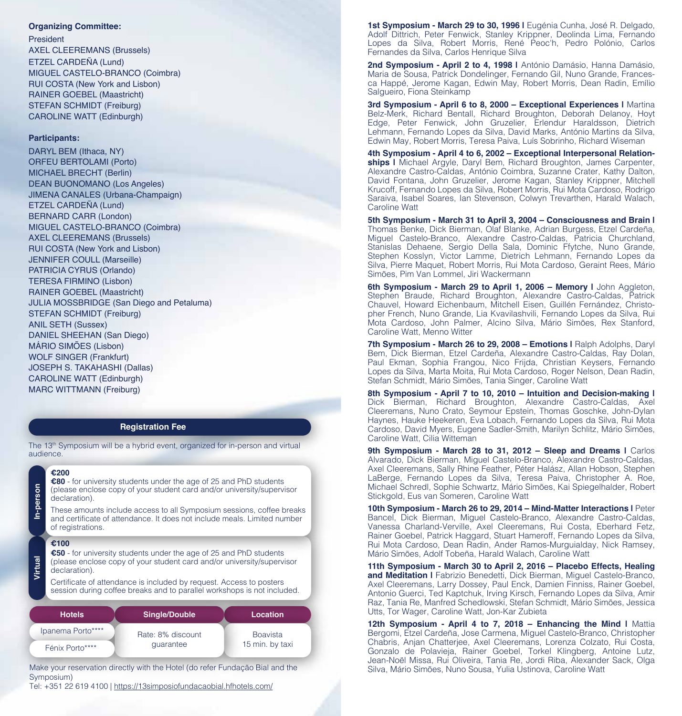### **Organizing Committee:**

#### President

AXEL CLEEREMANS (Brussels) ETZEL CARDEÑA (Lund) MIGUEL CASTELO-BRANCO (Coimbra) RUI COSTA (New York and Lisbon) RAINER GOEBEL (Maastricht) STEFAN SCHMIDT (Freiburg) CAROLINE WATT (Edinburgh)

### **Participants:**

DARYL BEM (Ithaca, NY) ORFEU BERTOLAMI (Porto) MICHAEL BRECHT (Berlin) DEAN BUONOMANO (Los Angeles) JIMENA CANALES (Urbana-Champaign) ETZEL CARDEÑA (Lund) BERNARD CARR (London) MIGUEL CASTELO-BRANCO (Coimbra) AXEL CLEEREMANS (Brussels) RUI COSTA (New York and Lisbon) JENNIFER COULL (Marseille) PATRICIA CYRUS (Orlando) TERESA FIRMINO (Lisbon) RAINER GOEBEL (Maastricht) JULIA MOSSBRIDGE (San Diego and Petaluma) STEFAN SCHMIDT (Freiburg) ANIL SETH (Sussex) DANIEL SHEEHAN (San Diego) MÁRIO SIMÕES (Lisbon) WOLF SINGER (Frankfurt) JOSEPH S. TAKAHASHI (Dallas) CAROLINE WATT (Edinburgh) MARC WITTMANN (Freiburg)

#### **Registration Fee**

The 13<sup>th</sup> Symposium will be a hybrid event, organized for in-person and virtual audience.

## **€200**

**€80** - for university students under the age of 25 and PhD students (please enclose copy of your student card and/or university/supervisor declaration).

These amounts include access to all Symposium sessions, coffee breaks and certificate of attendance. It does not include meals. Limited number of registrations.

**€100**

**Virtual**

**In-person** 

In-person

**€50** - for university students under the age of 25 and PhD students (please enclose copy of your student card and/or university/supervisor declaration).

Certificate of attendance is included by request. Access to posters session during coffee breaks and to parallel workshops is not included.

| <b>Hotels</b>     | <b>Single/Double</b> | Location        |
|-------------------|----------------------|-----------------|
| Ipanema Porto**** | Rate: 8% discount    | <b>Boavista</b> |
| Fénix Porto****   | quarantee            | 15 min. by taxi |

Make your reservation directly with the Hotel (do refer Fundação Bial and the Symposium)

Tel: +351 22 619 4100 | https://13simposiofundacaobial.hfhotels.com/

1st Symposium - March 29 to 30, 1996 | Eugénia Cunha, José R. Delgado, Adolf Dittrich, Peter Fenwick, Stanley Krippner, Deolinda Lima, Fernando Lopes da Silva, Robert Morris, René Peoc'h, Pedro Polónio, Carlos Fernandes da Silva, Carlos Henrique Silva

**2nd Symposium - April 2 to 4, 1998 |** António Damásio, Hanna Damásio, Maria de Sousa, Patrick Dondelinger, Fernando Gil, Nuno Grande, Francesca Happé, Jerome Kagan, Edwin May, Robert Morris, Dean Radin, Emílio Salgueiro, Fiona Steinkamp

**3rd Symposium - April 6 to 8, 2000 – Exceptional Experiences |** Martina Belz-Merk, Richard Bentall, Richard Broughton, Deborah Delanoy, Hoyt Edge, Peter Fenwick, John Gruzelier, Erlendur Haraldsson, Dietrich Lehmann, Fernando Lopes da Silva, David Marks, António Martins da Silva, Edwin May, Robert Morris, Teresa Paiva, Luís Sobrinho, Richard Wiseman

**4th Symposium - April 4 to 6, 2002 – Exceptional Interpersonal Relationships |** Michael Argyle, Daryl Bem, Richard Broughton, James Carpenter, Alexandre Castro-Caldas, António Coimbra, Suzanne Crater, Kathy Dalton, David Fontana, John Gruzelier, Jerome Kagan, Stanley Krippner, Mitchell Krucoff, Fernando Lopes da Silva, Robert Morris, Rui Mota Cardoso, Rodrigo Saraiva, Isabel Soares, Ian Stevenson, Colwyn Trevarthen, Harald Walach, Caroline Watt

**5th Symposium - March 31 to April 3, 2004 – Consciousness and Brain |**  Thomas Benke, Dick Bierman, Olaf Blanke, Adrian Burgess, Etzel Cardeña, Miguel Castelo-Branco, Alexandre Castro-Caldas, Patricia Churchland, Stanislas Dehaene, Sergio Della Sala, Dominic Ffytche, Nuno Grande, Stephen Kosslyn, Victor Lamme, Dietrich Lehmann, Fernando Lopes da Silva, Pierre Maquet, Robert Morris, Rui Mota Cardoso, Geraint Rees, Mário Simões, Pim Van Lommel, Jiri Wackermann

**6th Symposium - March 29 to April 1, 2006 – Memory I** John Aggleton,<br>Stephen Braude, Richard Broughton, Alexandre Castro-Caldas, Patrick Chauvel, Howard Eichenbaum, Mitchell Eisen, Guillén Fernández, Christopher French, Nuno Grande, Lia Kvavilashvili, Fernando Lopes da Silva, Rui Mota Cardoso, John Palmer, Alcino Silva, Mário Simões, Rex Stanford, Caroline Watt, Menno Witter

7th Symposium - March 26 to 29, 2008 - Emotions I Ralph Adolphs, Daryl Bem, Dick Bierman, Etzel Cardeña, Alexandre Castro-Caldas, Ray Dolan, Paul Ekman, Sophia Frangou, Nico Frijda, Christian Keysers, Fernando Lopes da Silva, Marta Moita, Rui Mota Cardoso, Roger Nelson, Dean Radin, Stefan Schmidt, Mário Simões, Tania Singer, Caroline Watt

**8th Symposium - April 7 to 10, 2010 – Intuition and Decision-making |**  Dick Bierman, Richard Broughton, Alexandre Castro-Caldas, Axel Cleeremans, Nuno Crato, Seymour Epstein, Thomas Goschke, John-Dylan Haynes, Hauke Heekeren, Eva Lobach, Fernando Lopes da Silva, Rui Mota Cardoso, David Myers, Eugene Sadler-Smith, Marilyn Schlitz, Mário Simões, Caroline Watt, Cilia Witteman

**9th Symposium - March 28 to 31, 2012 - Sleep and Dreams I Carlos** Alvarado, Dick Bierman, Miguel Castelo-Branco, Alexandre Castro-Caldas, Axel Cleeremans, Sally Rhine Feather, Péter Halász, Allan Hobson, Stephen LaBerge, Fernando Lopes da Silva, Teresa Paiva, Christopher A. Roe, Michael Schredl, Sophie Schwartz, Mário Simões, Kai Spiegelhalder, Robert Stickgold, Eus van Someren, Caroline Watt

**10th Symposium - March 26 to 29, 2014 – Mind-Matter Interactions |** Peter Bancel, Dick Bierman, Miguel Castelo-Branco, Alexandre Castro-Caldas, Vanessa Charland-Verville, Axel Cleeremans, Rui Costa, Eberhard Fetz, Rainer Goebel, Patrick Haggard, Stuart Hameroff, Fernando Lopes da Silva, Rui Mota Cardoso, Dean Radin, Ander Ramos-Murguialday, Nick Ramsey, Mário Simões, Adolf Tobeña, Harald Walach, Caroline Watt

**11th Symposium - March 30 to April 2, 2016 – Placebo Effects, Healing**  and Meditation | Fabrizio Benedetti, Dick Bierman, Miguel Castelo-Branco, Axel Cleeremans, Larry Dossey, Paul Enck, Damien Finniss, Rainer Goebel, Antonio Guerci, Ted Kaptchuk, Irving Kirsch, Fernando Lopes da Silva, Amir Raz, Tania Re, Manfred Schedlowski, Stefan Schmidt, Mário Simões, Jessica Utts, Tor Wager, Caroline Watt, Jon-Kar Zubieta

**12th Symposium - April 4 to 7, 2018 – Enhancing the Mind I** Mattia Bergomi, Etzel Cardeña, Jose Carmena, Miguel Castelo-Branco, Christopher Chabris, Anjan Chatterjee, Axel Cleeremans, Lorenza Colzato, Rui Costa, Gonzalo de Polavieja, Rainer Goebel, Torkel Klingberg, Antoine Lutz, Jean-Noël Missa, Rui Oliveira, Tania Re, Jordi Riba, Alexander Sack, Olga Silva, Mário Simões, Nuno Sousa, Yulia Ustinova, Caroline Watt